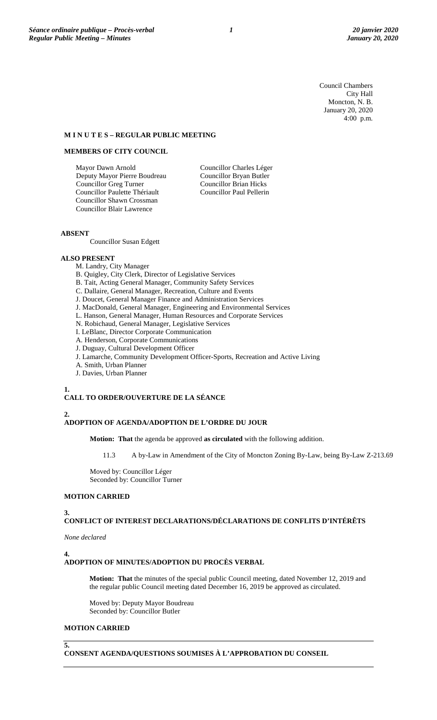Council Chambers City Hall Moncton, N. B. January 20, 2020 4:00 p.m.

## **M I N U T E S – REGULAR PUBLIC MEETING**

## **MEMBERS OF CITY COUNCIL**

Mayor Dawn Arnold Deputy Mayor Pierre Boudreau Councillor Greg Turner Councillor Paulette Thériault Councillor Shawn Crossman Councillor Blair Lawrence

Councillor Charles Léger Councillor Bryan Butler Councillor Brian Hicks Councillor Paul Pellerin

## **ABSENT**

Councillor Susan Edgett

## **ALSO PRESENT**

- M. Landry, City Manager
- B. Quigley, City Clerk, Director of Legislative Services
- B. Tait, Acting General Manager, Community Safety Services
- C. Dallaire, General Manager, Recreation, Culture and Events
- J. Doucet, General Manager Finance and Administration Services
- J. MacDonald, General Manager, Engineering and Environmental Services
- L. Hanson, General Manager, Human Resources and Corporate Services
- N. Robichaud, General Manager, Legislative Services
- I. LeBlanc, Director Corporate Communication
- A. Henderson, Corporate Communications
- J. Duguay, Cultural Development Officer
- J. Lamarche, Community Development Officer-Sports, Recreation and Active Living
- A. Smith, Urban Planner
- J. Davies, Urban Planner

## **1.**

## **CALL TO ORDER/OUVERTURE DE LA SÉANCE**

# **2.**

## **ADOPTION OF AGENDA/ADOPTION DE L'ORDRE DU JOUR**

**Motion: That** the agenda be approved **as circulated** with the following addition.

11.3 A by-Law in Amendment of the City of Moncton Zoning By-Law, being By-Law Z-213.69

Moved by: Councillor Léger Seconded by: Councillor Turner

## **MOTION CARRIED**

## **3.**

## **CONFLICT OF INTEREST DECLARATIONS/DÉCLARATIONS DE CONFLITS D'INTÉRÊTS**

*None declared*

## **4.**

## **ADOPTION OF MINUTES/ADOPTION DU PROCÈS VERBAL**

**Motion: That** the minutes of the special public Council meeting, dated November 12, 2019 and the regular public Council meeting dated December 16, 2019 be approved as circulated.

Moved by: Deputy Mayor Boudreau Seconded by: Councillor Butler

#### **MOTION CARRIED**

**5.**

**CONSENT AGENDA/QUESTIONS SOUMISES À L'APPROBATION DU CONSEIL**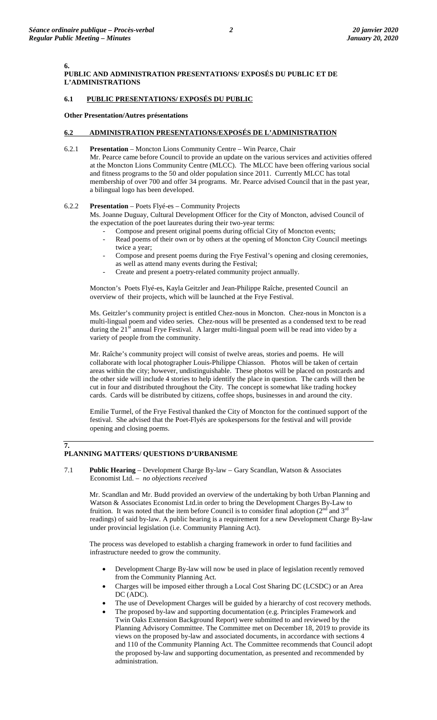**6.**

**7.**

## **PUBLIC AND ADMINISTRATION PRESENTATIONS/ EXPOSÉS DU PUBLIC ET DE L'ADMINISTRATIONS**

## **6.1 PUBLIC PRESENTATIONS/ EXPOSÉS DU PUBLIC**

## **Other Presentation/Autres présentations**

## **6.2 ADMINISTRATION PRESENTATIONS/EXPOSÉS DE L'ADMINISTRATION**

6.2.1 **Presentation** – Moncton Lions Community Centre – Win Pearce, Chair Mr. Pearce came before Council to provide an update on the various services and activities offered at the Moncton Lions Community Centre (MLCC). The MLCC have been offering various social and fitness programs to the 50 and older population since 2011. Currently MLCC has total membership of over 700 and offer 34 programs. Mr. Pearce advised Council that in the past year,

## 6.2.2 **Presentation** – Poets Flyé-es – Community Projects

a bilingual logo has been developed.

Ms. Joanne Duguay, Cultural Development Officer for the City of Moncton, advised Council of the expectation of the poet laureates during their two-year terms:

- Compose and present original poems during official City of Moncton events;
- Read poems of their own or by others at the opening of Moncton City Council meetings twice a year;
- Compose and present poems during the Frye Festival's opening and closing ceremonies, as well as attend many events during the Festival;
- Create and present a poetry-related community project annually.

Moncton's Poets Flyé-es, Kayla Geitzler and Jean-Philippe Raîche, presented Council an overview of their projects, which will be launched at the Frye Festival.

Ms. Geitzler's community project is entitled Chez-nous in Moncton. Chez-nous in Moncton is a multi-lingual poem and video series. Chez-nous will be presented as a condensed text to be read during the  $21^{\text{st}}$  annual Frye Festival. A larger multi-lingual poem will be read into video by a variety of people from the community.

Mr. Raîche's community project will consist of twelve areas, stories and poems. He will collaborate with local photographer Louis-Philippe Chiasson. Photos will be taken of certain areas within the city; however, undistinguishable. These photos will be placed on postcards and the other side will include 4 stories to help identify the place in question. The cards will then be cut in four and distributed throughout the City. The concept is somewhat like trading hockey cards. Cards will be distributed by citizens, coffee shops, businesses in and around the city.

Emilie Turmel, of the Frye Festival thanked the City of Moncton for the continued support of the festival. She advised that the Poet-Flyés are spokespersons for the festival and will provide opening and closing poems.

## **PLANNING MATTERS/ QUESTIONS D'URBANISME**

7.1 **Public Hearing** – Development Charge By-law – Gary Scandlan, Watson & Associates Economist Ltd. – *no objections received*

Mr. Scandlan and Mr. Budd provided an overview of the undertaking by both Urban Planning and Watson & Associates Economist Ltd.in order to bring the Development Charges By-Law to fruition. It was noted that the item before Council is to consider final adoption  $(2^{nd}$  and  $3^{rd}$ readings) of said by-law. A public hearing is a requirement for a new Development Charge By-law under provincial legislation (i.e. Community Planning Act).

The process was developed to establish a charging framework in order to fund facilities and infrastructure needed to grow the community.

- Development Charge By-law will now be used in place of legislation recently removed from the Community Planning Act.
- Charges will be imposed either through a Local Cost Sharing DC (LCSDC) or an Area DC (ADC).
- The use of Development Charges will be guided by a hierarchy of cost recovery methods.
- The proposed by-law and supporting documentation (e.g. Principles Framework and Twin Oaks Extension Background Report) were submitted to and reviewed by the Planning Advisory Committee. The Committee met on December 18, 2019 to provide its views on the proposed by-law and associated documents, in accordance with sections 4 and 110 of the Community Planning Act. The Committee recommends that Council adopt the proposed by-law and supporting documentation, as presented and recommended by administration.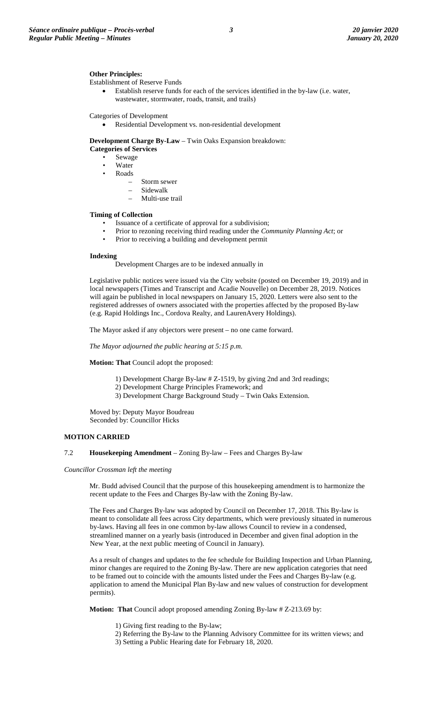Establishment of Reserve Funds

• Establish reserve funds for each of the services identified in the by-law (i.e. water, wastewater, stormwater, roads, transit, and trails)

Categories of Development

Residential Development vs. non-residential development

**Development Charge By-Law** – Twin Oaks Expansion breakdown:

**Categories of Services**

- Sewage **Water**
- Roads
	- Storm sewer
		- Sidewalk
		- Multi-use trail

#### **Timing of Collection**

- Issuance of a certificate of approval for a subdivision;
- Prior to rezoning receiving third reading under the *Community Planning Act*; or
- Prior to receiving a building and development permit

## **Indexing**

Development Charges are to be indexed annually in

Legislative public notices were issued via the City website (posted on December 19, 2019) and in local newspapers (Times and Transcript and Acadie Nouvelle) on December 28, 2019. Notices will again be published in local newspapers on January 15, 2020. Letters were also sent to the registered addresses of owners associated with the properties affected by the proposed By-law (e.g. Rapid Holdings Inc., Cordova Realty, and LaurenAvery Holdings).

The Mayor asked if any objectors were present – no one came forward.

*The Mayor adjourned the public hearing at 5:15 p.m.*

**Motion: That** Council adopt the proposed:

- 1) Development Charge By-law # Z-1519, by giving 2nd and 3rd readings;
- 2) Development Charge Principles Framework; and
- 3) Development Charge Background Study Twin Oaks Extension.

Moved by: Deputy Mayor Boudreau Seconded by: Councillor Hicks

### **MOTION CARRIED**

#### 7.2 **Housekeeping Amendment** – Zoning By-law – Fees and Charges By-law

*Councillor Crossman left the meeting*

Mr. Budd advised Council that the purpose of this housekeeping amendment is to harmonize the recent update to the Fees and Charges By-law with the Zoning By-law.

The Fees and Charges By-law was adopted by Council on December 17, 2018. This By-law is meant to consolidate all fees across City departments, which were previously situated in numerous by-laws. Having all fees in one common by-law allows Council to review in a condensed, streamlined manner on a yearly basis (introduced in December and given final adoption in the New Year, at the next public meeting of Council in January).

As a result of changes and updates to the fee schedule for Building Inspection and Urban Planning, minor changes are required to the Zoning By-law. There are new application categories that need to be framed out to coincide with the amounts listed under the Fees and Charges By-law (e.g. application to amend the Municipal Plan By-law and new values of construction for development permits).

**Motion: That** Council adopt proposed amending Zoning By-law # Z-213.69 by:

- 1) Giving first reading to the By-law;
- 2) Referring the By-law to the Planning Advisory Committee for its written views; and
- 3) Setting a Public Hearing date for February 18, 2020.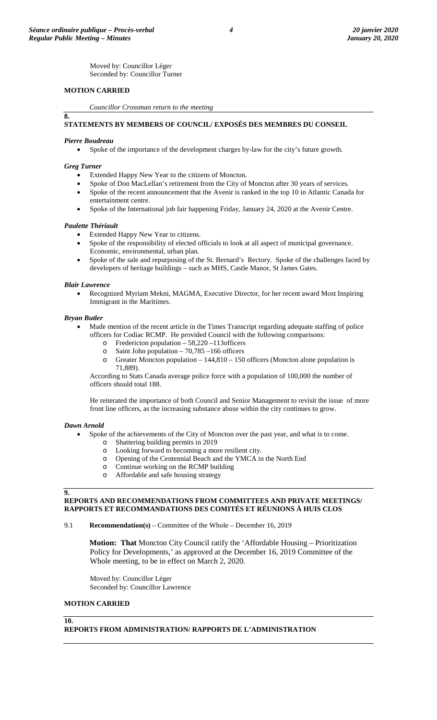Moved by: Councillor Léger Seconded by: Councillor Turner

## **MOTION CARRIED**

*Councillor Crossman return to the meeting*

## **STATEMENTS BY MEMBERS OF COUNCIL/ EXPOSÉS DES MEMBRES DU CONSEIL**

#### *Pierre Boudreau*

• Spoke of the importance of the development charges by-law for the city's future growth.

#### *Greg Turner*

**8.**

- Extended Happy New Year to the citizens of Moncton.
- Spoke of Don MacLellan's retirement from the City of Moncton after 30 years of services.
- Spoke of the recent announcement that the Avenir is ranked in the top 10 in Atlantic Canada for entertainment centre.
- Spoke of the International job fair happening Friday, January 24, 2020 at the Avenir Centre.

#### *Paulette Thériault*

- Extended Happy New Year to citizens.
- Spoke of the responsibility of elected officials to look at all aspect of municipal governance. Economic, environmental, urban plan.
- Spoke of the sale and repurposing of the St. Bernard's Rectory. Spoke of the challenges faced by developers of heritage buildings – such as MHS, Castle Manor, St James Gates.

#### *Blair Lawrence*

• Recognized Myriam Mekni, MAGMA, Executive Director, for her recent award Most Inspiring Immigrant in the Maritimes.

#### *Bryan Butler*

- Made mention of the recent article in the Times Transcript regarding adequate staffing of police officers for Codiac RCMP. He provided Council with the following comparisons:
	- o Fredericton population 58,220 113 officers<br>  $\frac{13}{100}$  Saint John population 70.785 166 officers
	- Saint John population  $70,785$  –166 officers
	- o Greater Moncton population 144,810 150 officers (Moncton alone population is 71,889).

According to Stats Canada average police force with a population of 100,000 the number of officers should total 188.

He reiterated the importance of both Council and Senior Management to revisit the issue of more front line officers, as the increasing substance abuse within the city continues to grow.

## *Dawn Arnold*

- Spoke of the achievements of the City of Moncton over the past year, and what is to come.
	-
	- o Shattering building permits in 2019<br>Cooking forward to becoming a metal Looking forward to becoming a more resilient city.
	- o Opening of the Centennial Beach and the YMCA in the North End
	- o Continue working on the RCMP building<br>
	o Affordable and safe housing strategy
	- Affordable and safe housing strategy

## **9.**

## **REPORTS AND RECOMMENDATIONS FROM COMMITTEES AND PRIVATE MEETINGS/ RAPPORTS ET RECOMMANDATIONS DES COMITÉS ET RÉUNIONS À HUIS CLOS**

9.1 **Recommendation(s)** – Committee of the Whole – December 16, 2019

**Motion: That** Moncton City Council ratify the 'Affordable Housing – Prioritization Policy for Developments,' as approved at the December 16, 2019 Committee of the Whole meeting, to be in effect on March 2, 2020.

Moved by: Councillor Léger Seconded by: Councillor Lawrence

## **MOTION CARRIED**

## **10.**

**REPORTS FROM ADMINISTRATION/ RAPPORTS DE L'ADMINISTRATION**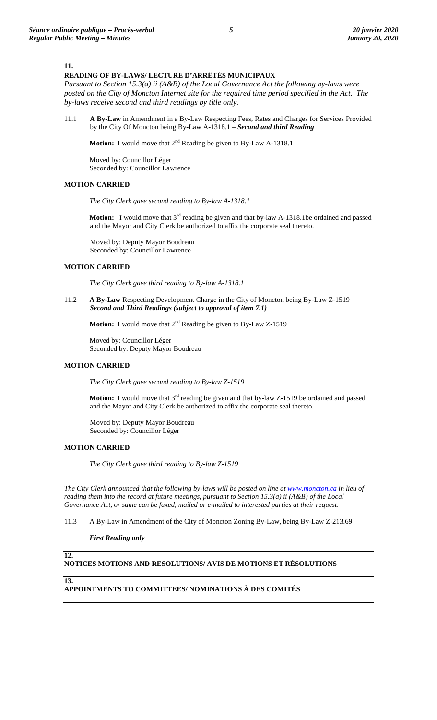#### **11.**

## **READING OF BY-LAWS/ LECTURE D'ARRÊTÉS MUNICIPAUX**

*Pursuant to Section 15.3(a) ii (A&B) of the Local Governance Act the following by-laws were posted on the City of Moncton Internet site for the required time period specified in the Act. The by-laws receive second and third readings by title only.*

11.1 **A By-Law** in Amendment in a By-Law Respecting Fees, Rates and Charges for Services Provided by the City Of Moncton being By-Law A-1318.1 – *Second and third Reading*

**Motion:** I would move that 2<sup>nd</sup> Reading be given to By-Law A-1318.1

Moved by: Councillor Léger Seconded by: Councillor Lawrence

#### **MOTION CARRIED**

*The City Clerk gave second reading to By-law A-1318.1*

**Motion:** I would move that 3<sup>rd</sup> reading be given and that by-law A-1318.1be ordained and passed and the Mayor and City Clerk be authorized to affix the corporate seal thereto.

Moved by: Deputy Mayor Boudreau Seconded by: Councillor Lawrence

## **MOTION CARRIED**

*The City Clerk gave third reading to By-law A-1318.1*

11.2 **A By-Law** Respecting Development Charge in the City of Moncton being By-Law Z-1519 – *Second and Third Readings (subject to approval of item 7.1)*

**Motion:** I would move that 2<sup>nd</sup> Reading be given to By-Law Z-1519

Moved by: Councillor Léger Seconded by: Deputy Mayor Boudreau

## **MOTION CARRIED**

*The City Clerk gave second reading to By-law Z-1519*

**Motion:** I would move that 3<sup>rd</sup> reading be given and that by-law Z-1519 be ordained and passed and the Mayor and City Clerk be authorized to affix the corporate seal thereto.

Moved by: Deputy Mayor Boudreau Seconded by: Councillor Léger

## **MOTION CARRIED**

*The City Clerk gave third reading to By-law Z-1519*

*The City Clerk announced that the following by-laws will be posted on line a[t www.moncton.ca](http://www.moncton.ca/) in lieu of reading them into the record at future meetings, pursuant to Section 15.3(a) ii (A&B) of the Local Governance Act, or same can be faxed, mailed or e-mailed to interested parties at their request*.

11.3 A By-Law in Amendment of the City of Moncton Zoning By-Law, being By-Law Z-213.69

*First Reading only*

#### **12. NOTICES MOTIONS AND RESOLUTIONS/ AVIS DE MOTIONS ET RÉSOLUTIONS**

**13.**

**APPOINTMENTS TO COMMITTEES/ NOMINATIONS À DES COMITÉS**